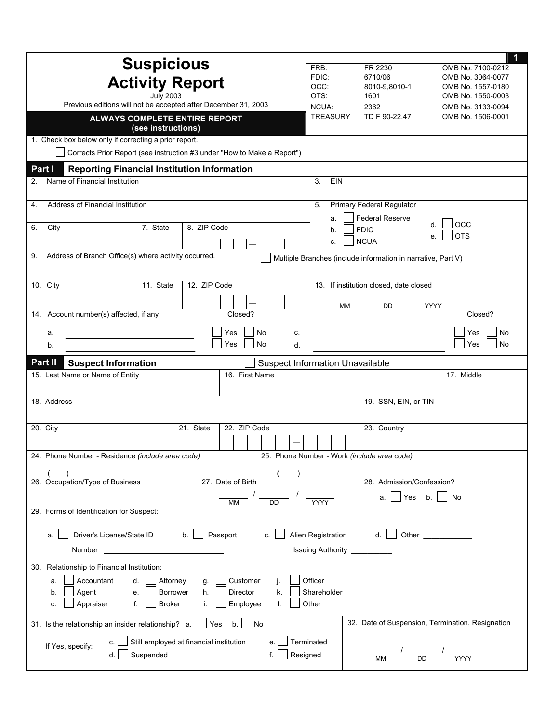|                                                                                                                            | 1                                                                                   |  |  |  |
|----------------------------------------------------------------------------------------------------------------------------|-------------------------------------------------------------------------------------|--|--|--|
| <b>Suspicious</b>                                                                                                          | FRB:<br>FR 2230<br>OMB No. 7100-0212                                                |  |  |  |
| <b>Activity Report</b>                                                                                                     | FDIC:<br>6710/06<br>OMB No. 3064-0077<br>OCC:<br>8010-9,8010-1<br>OMB No. 1557-0180 |  |  |  |
| <b>July 2003</b>                                                                                                           | OTS:<br>1601<br>OMB No. 1550-0003                                                   |  |  |  |
| Previous editions will not be accepted after December 31, 2003                                                             | NCUA:<br>2362<br>OMB No. 3133-0094                                                  |  |  |  |
| ALWAYS COMPLETE ENTIRE REPORT<br>(see instructions)                                                                        | <b>TREASURY</b><br>TD F 90-22.47<br>OMB No. 1506-0001                               |  |  |  |
| 1. Check box below only if correcting a prior report.                                                                      |                                                                                     |  |  |  |
| Corrects Prior Report (see instruction #3 under "How to Make a Report")                                                    |                                                                                     |  |  |  |
| Part I<br><b>Reporting Financial Institution Information</b>                                                               |                                                                                     |  |  |  |
| Name of Financial Institution<br>2.                                                                                        | EIN<br>3.                                                                           |  |  |  |
| Address of Financial Institution<br>4.                                                                                     | Primary Federal Regulator<br>5.                                                     |  |  |  |
|                                                                                                                            | <b>Federal Reserve</b><br>a.<br>OCC<br>d.                                           |  |  |  |
| 8. ZIP Code<br>6.<br>City<br>7. State                                                                                      | <b>FDIC</b><br>b.<br><b>OTS</b><br>е.                                               |  |  |  |
|                                                                                                                            | <b>NCUA</b><br>C.                                                                   |  |  |  |
| Address of Branch Office(s) where activity occurred.<br>9.<br>Multiple Branches (include information in narrative, Part V) |                                                                                     |  |  |  |
| 12. ZIP Code<br>10. City<br>11. State                                                                                      | 13. If institution closed, date closed                                              |  |  |  |
|                                                                                                                            |                                                                                     |  |  |  |
| 14. Account number(s) affected, if any<br>Closed?                                                                          | <b>YYYY</b><br>MM<br>DD<br>Closed?                                                  |  |  |  |
|                                                                                                                            |                                                                                     |  |  |  |
| No<br>Yes<br>c.<br>а.<br>No<br>Yes<br>d.<br>b.                                                                             | Yes<br>No<br>No<br>Yes                                                              |  |  |  |
|                                                                                                                            |                                                                                     |  |  |  |
| Part II<br><b>Suspect Information</b>                                                                                      | <b>Suspect Information Unavailable</b>                                              |  |  |  |
| 16. First Name<br>15. Last Name or Name of Entity                                                                          | 17. Middle                                                                          |  |  |  |
| 18. Address                                                                                                                | 19. SSN, EIN, or TIN                                                                |  |  |  |
|                                                                                                                            |                                                                                     |  |  |  |
| 22. ZIP Code<br>20. City<br>21. State                                                                                      | 23. Country                                                                         |  |  |  |
|                                                                                                                            |                                                                                     |  |  |  |
| 25. Phone Number - Work (include area code)<br>24. Phone Number - Residence (include area code)                            |                                                                                     |  |  |  |
|                                                                                                                            |                                                                                     |  |  |  |
| 26. Occupation/Type of Business<br>27. Date of Birth                                                                       | 28. Admission/Confession?                                                           |  |  |  |
| <b>DD</b><br>МM                                                                                                            | Yes<br>No<br>b.<br>а.<br><b>YYYY</b>                                                |  |  |  |
| 29. Forms of Identification for Suspect:                                                                                   |                                                                                     |  |  |  |
| Driver's License/State ID<br>Alien Registration<br>Passport<br>Other<br>b.<br>d.<br>C.<br>a.                               |                                                                                     |  |  |  |
| Issuing Authority _                                                                                                        |                                                                                     |  |  |  |
| 30. Relationship to Financial Institution:                                                                                 |                                                                                     |  |  |  |
| Customer<br>Officer<br>Accountant<br>Attorney<br>d.<br>q.<br>a.                                                            |                                                                                     |  |  |  |
| Director<br>Shareholder<br>Agent<br>Borrower<br>h.<br>k.<br>b.<br>е.                                                       |                                                                                     |  |  |  |
| Appraiser<br>f.<br><b>Broker</b><br>Employee<br>Other<br>i.<br>c.<br>I.                                                    |                                                                                     |  |  |  |
| 31. Is the relationship an insider relationship? $a.$ $\Box$ Yes<br>$b.$ No                                                | 32. Date of Suspension, Termination, Resignation                                    |  |  |  |
| Still employed at financial institution<br>е.<br>c.                                                                        | Terminated                                                                          |  |  |  |
| If Yes, specify:<br>Suspended<br>d.                                                                                        | $\frac{1}{\sqrt{2}}$<br>Resigned                                                    |  |  |  |
|                                                                                                                            | МM                                                                                  |  |  |  |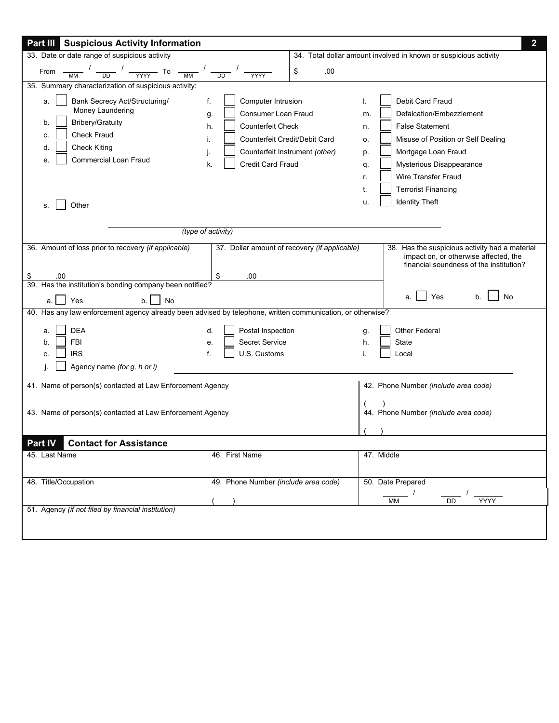| <b>Part III Suspicious Activity Information</b>                                                                                                                                                 |                                                                                                                                                                                             |           | $\overline{2}$                                                                                                                                                                                                                                                                                 |
|-------------------------------------------------------------------------------------------------------------------------------------------------------------------------------------------------|---------------------------------------------------------------------------------------------------------------------------------------------------------------------------------------------|-----------|------------------------------------------------------------------------------------------------------------------------------------------------------------------------------------------------------------------------------------------------------------------------------------------------|
| 33. Date or date range of suspicious activity                                                                                                                                                   |                                                                                                                                                                                             |           | 34. Total dollar amount involved in known or suspicious activity                                                                                                                                                                                                                               |
| From $\frac{1}{\sqrt{M}}$ $\frac{1}{\sqrt{D}}$ $\frac{1}{\sqrt{M}}$ $\frac{1}{\sqrt{M}}$ $\frac{1}{\sqrt{D}}$ $\frac{1}{\sqrt{M}}$ $\frac{1}{\sqrt{M}}$                                         |                                                                                                                                                                                             | .00<br>\$ |                                                                                                                                                                                                                                                                                                |
| 35. Summary characterization of suspicious activity:                                                                                                                                            |                                                                                                                                                                                             |           |                                                                                                                                                                                                                                                                                                |
| Bank Secrecy Act/Structuring/<br>a.<br>Money Laundering<br><b>Bribery/Gratuity</b><br>b.<br><b>Check Fraud</b><br>c.<br><b>Check Kiting</b><br>d.<br>Commercial Loan Fraud<br>е.<br>Other<br>S. | Computer Intrusion<br>f.<br>Consumer Loan Fraud<br>g.<br><b>Counterfeit Check</b><br>h.<br>Counterfeit Credit/Debit Card<br>Τ.<br>Counterfeit Instrument (other)<br>Credit Card Fraud<br>k. |           | Debit Card Fraud<br>Defalcation/Embezzlement<br>m.<br><b>False Statement</b><br>n.<br>Misuse of Position or Self Dealing<br>0.<br>Mortgage Loan Fraud<br>p.<br>Mysterious Disappearance<br>q.<br><b>Wire Transfer Fraud</b><br>r.<br><b>Terrorist Financing</b><br><b>Identity Theft</b><br>u. |
| (type of activity)                                                                                                                                                                              |                                                                                                                                                                                             |           |                                                                                                                                                                                                                                                                                                |
| 36. Amount of loss prior to recovery (if applicable)                                                                                                                                            | 37. Dollar amount of recovery (if applicable)                                                                                                                                               |           | 38. Has the suspicious activity had a material<br>impact on, or otherwise affected, the<br>financial soundness of the institution?                                                                                                                                                             |
| .00                                                                                                                                                                                             | .00<br>\$                                                                                                                                                                                   |           |                                                                                                                                                                                                                                                                                                |
| 39. Has the institution's bonding company been notified?                                                                                                                                        |                                                                                                                                                                                             |           |                                                                                                                                                                                                                                                                                                |
| Yes<br>No<br>b.<br>a.l                                                                                                                                                                          |                                                                                                                                                                                             |           | Yes<br>No                                                                                                                                                                                                                                                                                      |
| 40. Has any law enforcement agency already been advised by telephone, written communication, or otherwise?                                                                                      |                                                                                                                                                                                             |           |                                                                                                                                                                                                                                                                                                |
| <b>DEA</b><br>a.<br><b>FBI</b><br>b.<br><b>IRS</b><br>C.<br>Agency name (for g, h or i)                                                                                                         | Postal Inspection<br>d.<br>Secret Service<br>e.<br>U.S. Customs<br>f.                                                                                                                       |           | <b>Other Federal</b><br>g.<br><b>State</b><br>h.<br>Local                                                                                                                                                                                                                                      |
| 41. Name of person(s) contacted at Law Enforcement Agency                                                                                                                                       |                                                                                                                                                                                             |           | 42. Phone Number (include area code)                                                                                                                                                                                                                                                           |
| 43. Name of person(s) contacted at Law Enforcement Agency                                                                                                                                       |                                                                                                                                                                                             |           | 44. Phone Number (include area code)                                                                                                                                                                                                                                                           |
| Part IV<br><b>Contact for Assistance</b>                                                                                                                                                        |                                                                                                                                                                                             |           |                                                                                                                                                                                                                                                                                                |
| 45. Last Name                                                                                                                                                                                   | 46. First Name                                                                                                                                                                              |           | 47. Middle                                                                                                                                                                                                                                                                                     |
| 48. Title/Occupation                                                                                                                                                                            | 49. Phone Number (include area code)                                                                                                                                                        |           | 50. Date Prepared                                                                                                                                                                                                                                                                              |
|                                                                                                                                                                                                 |                                                                                                                                                                                             |           | MM<br>YYYY<br>DD                                                                                                                                                                                                                                                                               |
| 51. Agency (if not filed by financial institution)                                                                                                                                              |                                                                                                                                                                                             |           |                                                                                                                                                                                                                                                                                                |
|                                                                                                                                                                                                 |                                                                                                                                                                                             |           |                                                                                                                                                                                                                                                                                                |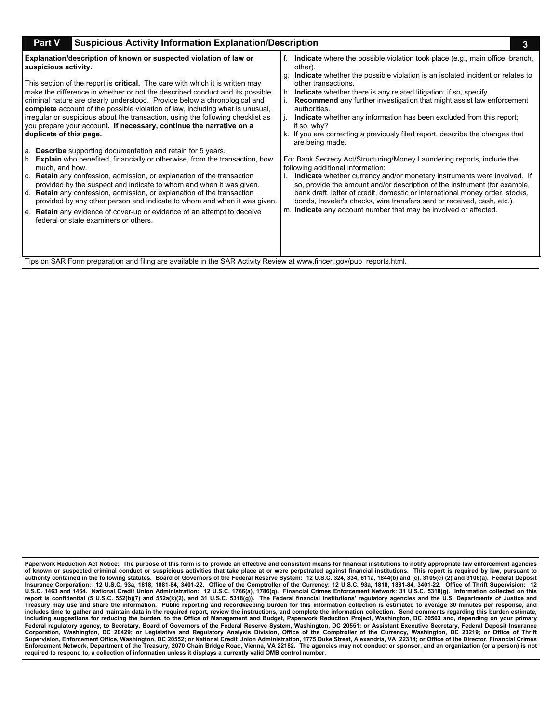| <b>Suspicious Activity Information Explanation/Description</b><br><b>Part V</b>                                                                                                                                                                                                                                                                                                                                                                                                                                                                                                                                                                                                                                                                                                                                                                                                                                                                                                                                                                                                                                                                                                                                                                                                                                                                         |                                                                                                                                                                                                                                                                                                                                                                                                                                                                                                                                                                                                                                                                                                                                                                                                                                                                                                                                                                                                                                                                                                   |  |  |  |
|---------------------------------------------------------------------------------------------------------------------------------------------------------------------------------------------------------------------------------------------------------------------------------------------------------------------------------------------------------------------------------------------------------------------------------------------------------------------------------------------------------------------------------------------------------------------------------------------------------------------------------------------------------------------------------------------------------------------------------------------------------------------------------------------------------------------------------------------------------------------------------------------------------------------------------------------------------------------------------------------------------------------------------------------------------------------------------------------------------------------------------------------------------------------------------------------------------------------------------------------------------------------------------------------------------------------------------------------------------|---------------------------------------------------------------------------------------------------------------------------------------------------------------------------------------------------------------------------------------------------------------------------------------------------------------------------------------------------------------------------------------------------------------------------------------------------------------------------------------------------------------------------------------------------------------------------------------------------------------------------------------------------------------------------------------------------------------------------------------------------------------------------------------------------------------------------------------------------------------------------------------------------------------------------------------------------------------------------------------------------------------------------------------------------------------------------------------------------|--|--|--|
| Explanation/description of known or suspected violation of law or<br>suspicious activity.<br>This section of the report is <b>critical</b> . The care with which it is written may<br>make the difference in whether or not the described conduct and its possible<br>criminal nature are clearly understood. Provide below a chronological and<br>complete account of the possible violation of law, including what is unusual,<br>irregular or suspicious about the transaction, using the following checklist as<br>you prepare your account. If necessary, continue the narrative on a<br>duplicate of this page.<br>a. Describe supporting documentation and retain for 5 years.<br><b>Explain</b> who benefited, financially or otherwise, from the transaction, how<br>l b.<br>much, and how.<br>c. Retain any confession, admission, or explanation of the transaction<br>provided by the suspect and indicate to whom and when it was given.<br>d. Retain any confession, admission, or explanation of the transaction<br>provided by any other person and indicate to whom and when it was given.<br>e. Retain any evidence of cover-up or evidence of an attempt to deceive<br>federal or state examiners or others.<br>Tips on SAR Form preparation and filing are available in the SAR Activity Review at www.fincen.gov/pub reports.html. | <b>Indicate</b> where the possible violation took place (e.g., main office, branch,<br>f.<br>other).<br>Indicate whether the possible violation is an isolated incident or relates to<br>q.<br>other transactions.<br>h. Indicate whether there is any related litigation; if so, specify.<br>Recommend any further investigation that might assist law enforcement<br>authorities.<br><b>Indicate</b> whether any information has been excluded from this report;<br>П.<br>if so, why?<br>k. If you are correcting a previously filed report, describe the changes that<br>are being made.<br>For Bank Secrecy Act/Structuring/Money Laundering reports, include the<br>following additional information:<br>Indicate whether currency and/or monetary instruments were involved. If<br>so, provide the amount and/or description of the instrument (for example,<br>bank draft, letter of credit, domestic or international money order, stocks,<br>bonds, traveler's checks, wire transfers sent or received, cash, etc.).<br>m. Indicate any account number that may be involved or affected. |  |  |  |
|                                                                                                                                                                                                                                                                                                                                                                                                                                                                                                                                                                                                                                                                                                                                                                                                                                                                                                                                                                                                                                                                                                                                                                                                                                                                                                                                                         |                                                                                                                                                                                                                                                                                                                                                                                                                                                                                                                                                                                                                                                                                                                                                                                                                                                                                                                                                                                                                                                                                                   |  |  |  |

**Paperwork Reduction Act Notice: The purpose of this form is to provide an effective and consistent means for financial institutions to notify appropriate law enforcement agencies of known or suspected criminal conduct or suspicious activities that take place at or were perpetrated against financial institutions. This report is required by law, pursuant to**  authority contained in the following statutes. Board of Governors of the Federal Reserve System: 12 U.S.C. 324, 334, 611a, 1844(b) and (c), 3105(c) (2) and 3106(a). Federal Deposit<br>Insurance Corporation: 12 U.S.C. 93a, 181 **includes time to gather and maintain data in the required report, review the instructions, and complete the information collection. Send comments regarding this burden estimate, including suggestions for reducing the burden, to the Office of Management and Budget, Paperwork Reduction Project, Washington, DC 20503 and, depending on your primary Federal regulatory agency, to Secretary, Board of Governors of the Federal Reserve System, Washington, DC 20551; or Assistant Executive Secretary, Federal Deposit Insurance**  Corporation, Washington, DC 20429; or Legislative and Regulatory Analysis Division, Office of the Comptroller of the Currency, Washington, DC 20219; or Office of Thrift<br>Supervision, Enforcement Office, Washington, DC 20552 **required to respond to, a collection of information unless it displays a currently valid OMB control number.**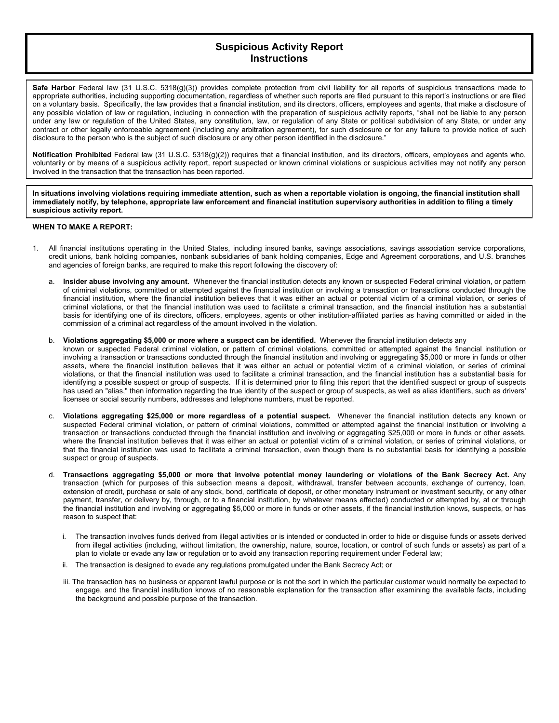## **Suspicious Activity Report Instructions**

**Safe Harbor** Federal law (31 U.S.C. 5318(g)(3)) provides complete protection from civil liability for all reports of suspicious transactions made to appropriate authorities, including supporting documentation, regardless of whether such reports are filed pursuant to this report's instructions or are filed on a voluntary basis. Specifically, the law provides that a financial institution, and its directors, officers, employees and agents, that make a disclosure of any possible violation of law or regulation, including in connection with the preparation of suspicious activity reports, "shall not be liable to any person under any law or regulation of the United States, any constitution, law, or regulation of any State or political subdivision of any State, or under any contract or other legally enforceable agreement (including any arbitration agreement), for such disclosure or for any failure to provide notice of such disclosure to the person who is the subject of such disclosure or any other person identified in the disclosure."

**Notification Prohibited** Federal law (31 U.S.C. 5318(g)(2)) requires that a financial institution, and its directors, officers, employees and agents who, voluntarily or by means of a suspicious activity report, report suspected or known criminal violations or suspicious activities may not notify any person involved in the transaction that the transaction has been reported.

**In situations involving violations requiring immediate attention, such as when a reportable violation is ongoing, the financial institution shall immediately notify, by telephone, appropriate law enforcement and financial institution supervisory authorities in addition to filing a timely suspicious activity report.** 

## **WHEN TO MAKE A REPORT:**

- 1. All financial institutions operating in the United States, including insured banks, savings associations, savings association service corporations, credit unions, bank holding companies, nonbank subsidiaries of bank holding companies, Edge and Agreement corporations, and U.S. branches and agencies of foreign banks, are required to make this report following the discovery of:
	- a. **Insider abuse involving any amount.** Whenever the financial institution detects any known or suspected Federal criminal violation, or pattern of criminal violations, committed or attempted against the financial institution or involving a transaction or transactions conducted through the financial institution, where the financial institution believes that it was either an actual or potential victim of a criminal violation, or series of criminal violations, or that the financial institution was used to facilitate a criminal transaction, and the financial institution has a substantial basis for identifying one of its directors, officers, employees, agents or other institution-affiliated parties as having committed or aided in the commission of a criminal act regardless of the amount involved in the violation.
	- b. **Violations aggregating \$5,000 or more where a suspect can be identified.** Whenever the financial institution detects any known or suspected Federal criminal violation, or pattern of criminal violations, committed or attempted against the financial institution or involving a transaction or transactions conducted through the financial institution and involving or aggregating \$5,000 or more in funds or other assets, where the financial institution believes that it was either an actual or potential victim of a criminal violation, or series of criminal violations, or that the financial institution was used to facilitate a criminal transaction, and the financial institution has a substantial basis for identifying a possible suspect or group of suspects. If it is determined prior to filing this report that the identified suspect or group of suspects has used an "alias," then information regarding the true identity of the suspect or group of suspects, as well as alias identifiers, such as drivers' licenses or social security numbers, addresses and telephone numbers, must be reported.
	- c. **Violations aggregating \$25,000 or more regardless of a potential suspect.** Whenever the financial institution detects any known or suspected Federal criminal violation, or pattern of criminal violations, committed or attempted against the financial institution or involving a transaction or transactions conducted through the financial institution and involving or aggregating \$25,000 or more in funds or other assets, where the financial institution believes that it was either an actual or potential victim of a criminal violation, or series of criminal violations, or that the financial institution was used to facilitate a criminal transaction, even though there is no substantial basis for identifying a possible suspect or group of suspects.
	- d. **Transactions aggregating \$5,000 or more that involve potential money laundering or violations of the Bank Secrecy Act.** Any transaction (which for purposes of this subsection means a deposit, withdrawal, transfer between accounts, exchange of currency, loan, extension of credit, purchase or sale of any stock, bond, certificate of deposit, or other monetary instrument or investment security, or any other payment, transfer, or delivery by, through, or to a financial institution, by whatever means effected) conducted or attempted by, at or through the financial institution and involving or aggregating \$5,000 or more in funds or other assets, if the financial institution knows, suspects, or has reason to suspect that:
		- i. The transaction involves funds derived from illegal activities or is intended or conducted in order to hide or disguise funds or assets derived from illegal activities (including, without limitation, the ownership, nature, source, location, or control of such funds or assets) as part of a plan to violate or evade any law or regulation or to avoid any transaction reporting requirement under Federal law;
		- ii. The transaction is designed to evade any regulations promulgated under the Bank Secrecy Act; or
		- iii. The transaction has no business or apparent lawful purpose or is not the sort in which the particular customer would normally be expected to engage, and the financial institution knows of no reasonable explanation for the transaction after examining the available facts, including the background and possible purpose of the transaction.